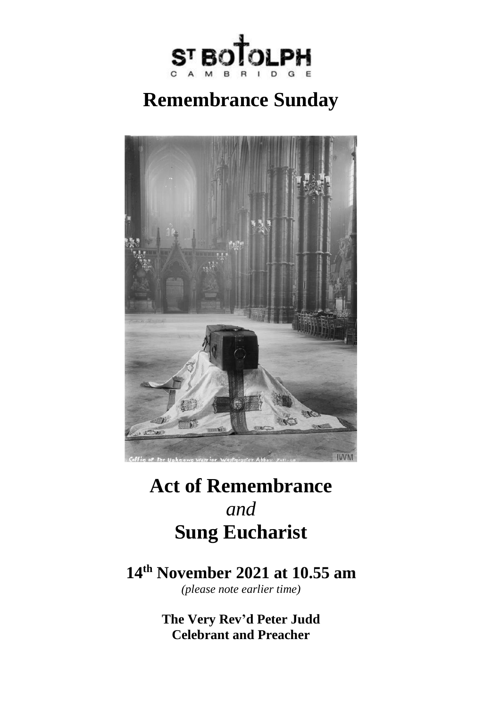

# **Remembrance Sunday**



## **Act of Remembrance** *and*  **Sung Eucharist**

### **14th November 2021 at 10.55 am** *(please note earlier time)*

**The Very Rev'd Peter Judd Celebrant and Preacher**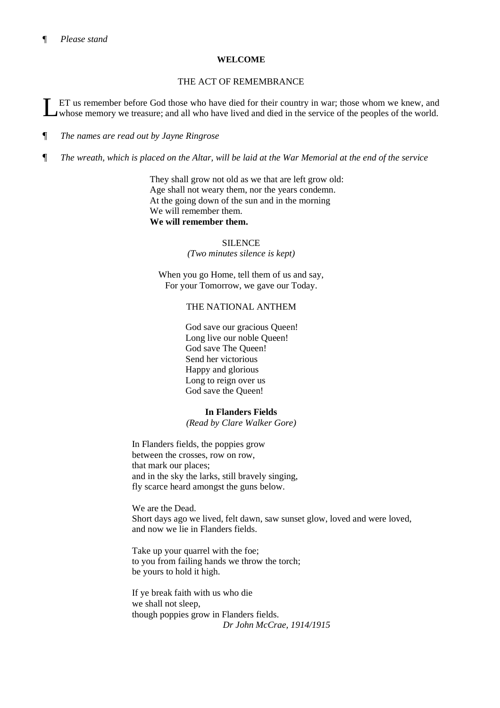#### **WELCOME**

#### THE ACT OF REMEMBRANCE

ET us remember before God those who have died for their country in war; those whom we knew, and Let us remember before God those who have died for their country in war; those whom we knew, and whose memory we treasure; and all who have lived and died in the service of the peoples of the world.

¶ *The names are read out by Jayne Ringrose*

¶ *The wreath, which is placed on the Altar, will be laid at the War Memorial at the end of the service*

They shall grow not old as we that are left grow old: Age shall not weary them, nor the years condemn. At the going down of the sun and in the morning We will remember them. **We will remember them.**

#### **SILENCE**

*(Two minutes silence is kept)*

When you go Home, tell them of us and say, For your Tomorrow, we gave our Today.

#### THE NATIONAL ANTHEM

God save our gracious Queen! Long live our noble Queen! God save The Queen! Send her victorious Happy and glorious Long to reign over us God save the Queen!

#### **In Flanders Fields**

*(Read by Clare Walker Gore)*

In Flanders fields, the poppies grow between the crosses, row on row, that mark our places; and in the sky the larks, still bravely singing, fly scarce heard amongst the guns below.

We are the Dead. Short days ago we lived, felt dawn, saw sunset glow, loved and were loved, and now we lie in Flanders fields.

Take up your quarrel with the foe; to you from failing hands we throw the torch; be yours to hold it high.

If ye break faith with us who die we shall not sleep, though poppies grow in Flanders fields.  *Dr John McCrae, 1914/1915*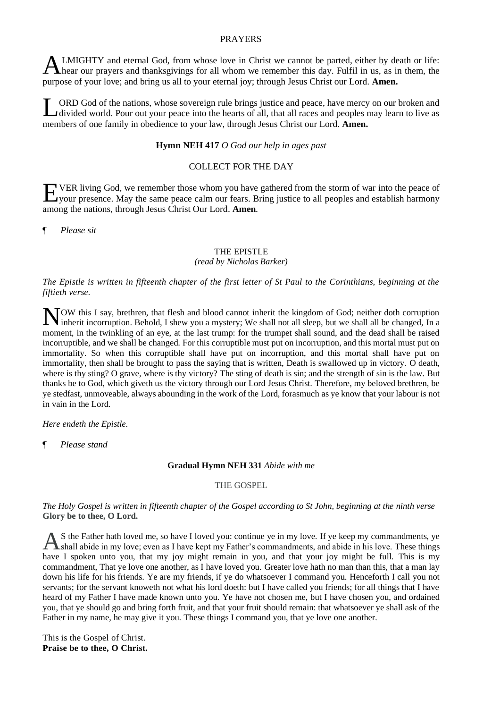#### PRAYERS

ALMIGHTY and eternal God, from whose love in Christ we cannot be parted, either by death or life:<br>A hear our prayers and thanksgivings for all whom we remember this day. Fulfil in us, as in them, the hear our prayers and thanksgivings for all whom we remember this day. Fulfil in us, as in them, the purpose of your love; and bring us all to your eternal joy; through Jesus Christ our Lord. **Amen.**

ORD God of the nations, whose sovereign rule brings justice and peace, have mercy on our broken and divided world. Pour out your peace into the hearts of all, that all races and peoples may learn to live as members of one family in obedience to your law, through Jesus Christ our Lord. **Amen.** L

#### **Hymn NEH 417** *O God our help in ages past*

#### COLLECT FOR THE DAY

EVER living God, we remember those whom you have gathered from the storm of war into the peace of your presence. May the same peace calm our fears. Bring justice to all peoples and establish harmony **y** your presence. May the same peace calm our fears. Bring justice to all peoples and establish harmony among the nations, through Jesus Christ Our Lord. **Amen**.

¶ *Please sit*

#### THE EPISTLE

#### *(read by Nicholas Barker)*

*The Epistle is written in fifteenth chapter of the first letter of St Paul to the Corinthians, beginning at the fiftieth verse.*

TOW this I say, brethren, that flesh and blood cannot inherit the kingdom of God; neither doth corruption NOW this I say, brethren, that flesh and blood cannot inherit the kingdom of God; neither doth corruption inherit incorruption. Behold, I shew you a mystery; We shall not all sleep, but we shall all be changed, In a moment, in the twinkling of an eye, at the last trump: for the trumpet shall sound, and the dead shall be raised incorruptible, and we shall be changed. For this corruptible must put on incorruption, and this mortal must put on immortality. So when this corruptible shall have put on incorruption, and this mortal shall have put on immortality, then shall be brought to pass the saying that is written, Death is swallowed up in victory. O death, where is thy sting? O grave, where is thy victory? The sting of death is sin; and the strength of sin is the law. But thanks be to God, which giveth us the victory through our Lord Jesus Christ. Therefore, my beloved brethren, be ye stedfast, unmoveable, always abounding in the work of the Lord, forasmuch as ye know that your labour is not in vain in the Lord.

*Here endeth the Epistle.*

¶ *Please stand*

#### **Gradual Hymn NEH 331** *Abide with me*

#### THE GOSPEL

*The Holy Gospel is written in fifteenth chapter of the Gospel according to St John, beginning at the ninth verse* **Glory be to thee, O Lord.**

S the Father hath loved me, so have I loved you: continue ye in my love. If ye keep my commandments, ye As the Father hath loved me, so have I loved you: continue ye in my love. If ye keep my commandments, ye shall abide in my love; even as I have kept my Father's commandments, and abide in his love. These things have I spoken unto you, that my joy might remain in you, and that your joy might be full. This is my commandment, That ye love one another, as I have loved you. Greater love hath no man than this, that a man lay down his life for his friends. Ye are my friends, if ye do whatsoever I command you. Henceforth I call you not servants; for the servant knoweth not what his lord doeth: but I have called you friends; for all things that I have heard of my Father I have made known unto you. Ye have not chosen me, but I have chosen you, and ordained you, that ye should go and bring forth fruit, and that your fruit should remain: that whatsoever ye shall ask of the Father in my name, he may give it you. These things I command you, that ye love one another.

This is the Gospel of Christ. **Praise be to thee, O Christ.**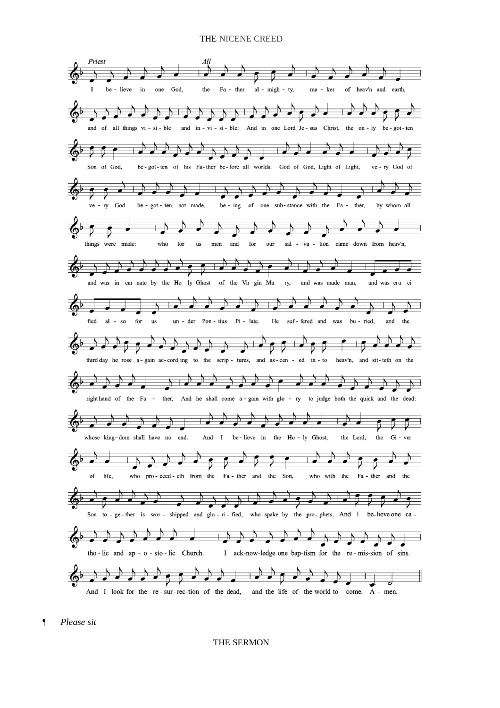#### THE NICENE CREED



¶ *Please sit*

THE SERMON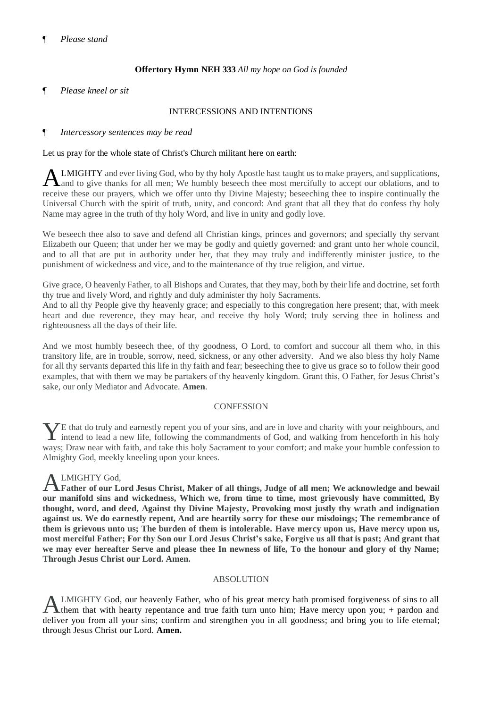#### ¶ *Please stand*

#### **Offertory Hymn NEH 333** *All my hope on God is founded*

#### ¶ *Please kneel or sit*

#### INTERCESSIONS AND INTENTIONS

#### ¶ *Intercessory sentences may be read*

#### Let us pray for the whole state of Christ's Church militant here on earth:

LMIGHTY and ever living God, who by thy holy Apostle hast taught us to make prayers, and supplications, **ALMIGHTY** and ever living God, who by thy holy Apostle hast taught us to make prayers, and supplications, and to give thanks for all men; We humbly beseech thee most mercifully to accept our oblations, and to receive these our prayers, which we offer unto thy Divine Majesty; beseeching thee to inspire continually the Universal Church with the spirit of truth, unity, and concord: And grant that all they that do confess thy holy Name may agree in the truth of thy holy Word, and live in unity and godly love.

We beseech thee also to save and defend all Christian kings, princes and governors; and specially thy servant Elizabeth our Queen; that under her we may be godly and quietly governed: and grant unto her whole council, and to all that are put in authority under her, that they may truly and indifferently minister justice, to the punishment of wickedness and vice, and to the maintenance of thy true religion, and virtue.

Give grace, O heavenly Father, to all Bishops and Curates, that they may, both by their life and doctrine, set forth thy true and lively Word, and rightly and duly administer thy holy Sacraments.

And to all thy People give thy heavenly grace; and especially to this congregation here present; that, with meek heart and due reverence, they may hear, and receive thy holy Word; truly serving thee in holiness and righteousness all the days of their life.

And we most humbly beseech thee, of thy goodness, O Lord, to comfort and succour all them who, in this transitory life, are in trouble, sorrow, need, sickness, or any other adversity. And we also bless thy holy Name for all thy servants departed this life in thy faith and fear; beseeching thee to give us grace so to follow their good examples, that with them we may be partakers of thy heavenly kingdom. Grant this, O Father, for Jesus Christ's sake, our only Mediator and Advocate. **Amen**.

#### **CONFESSION**

 $\mathcal{F}$ E that do truly and earnestly repent you of your sins, and are in love and charity with your neighbours, and YE that do truly and earnestly repent you of your sins, and are in love and charity with your neighbours, and intend to lead a new life, following the commandments of God, and walking from henceforth in his holy ways; Draw near with faith, and take this holy Sacrament to your comfort; and make your humble confession to Almighty God, meekly kneeling upon your knees.

### LMIGHTY God,

**Father of our Lord Jesus Christ, Maker of all things, Judge of all men; We acknowledge and bewail**  A **our manifold sins and wickedness, Which we, from time to time, most grievously have committed, By thought, word, and deed, Against thy Divine Majesty, Provoking most justly thy wrath and indignation against us. We do earnestly repent, And are heartily sorry for these our misdoings; The remembrance of them is grievous unto us; The burden of them is intolerable. Have mercy upon us, Have mercy upon us, most merciful Father; For thy Son our Lord Jesus Christ's sake, Forgive us all that is past; And grant that we may ever hereafter Serve and please thee In newness of life, To the honour and glory of thy Name; Through Jesus Christ our Lord. Amen.** 

#### ABSOLUTION

LMIGHTY God, our heavenly Father, who of his great mercy hath promised forgiveness of sins to all them that with hearty repentance and true faith turn unto him; Have mercy upon you; + pardon and deliver you from all your sins; confirm and strengthen you in all goodness; and bring you to life eternal; through Jesus Christ our Lord. **Amen.** A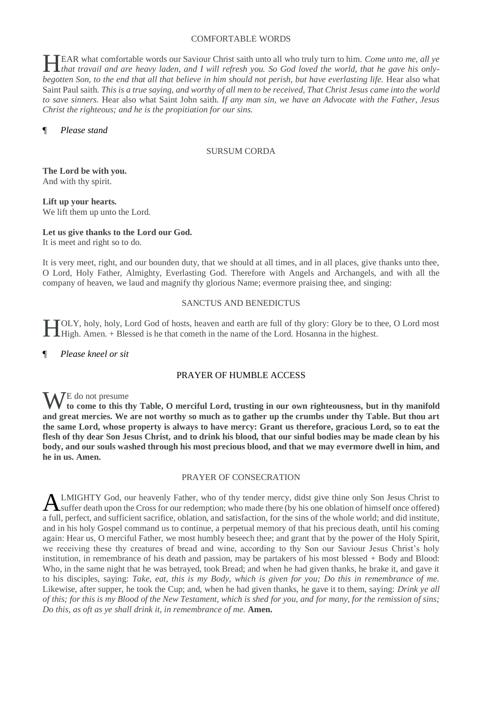#### COMFORTABLE WORDS

EAR what comfortable words our Saviour Christ saith unto all who truly turn to him. *Come unto me, all ye*  **that travail and are heavy laden, and I will refresh you. So God loved the world, that he gave his only-<br>
<b>that travail and are heavy laden, and I will refresh you. So God loved the world, that he gave his only***begotten Son, to the end that all that believe in him should not perish, but have everlasting life.* Hear also what Saint Paul saith. *This is a true saying, and worthy of all men to be received, That Christ Jesus came into the world to save sinners.* Hear also what Saint John saith. *If any man sin, we have an Advocate with the Father, Jesus Christ the righteous; and he is the propitiation for our sins.*

¶ *Please stand*

#### SURSUM CORDA

**The Lord be with you.**  And with thy spirit.

**Lift up your hearts.**  We lift them up unto the Lord.

#### **Let us give thanks to the Lord our God.**

It is meet and right so to do.

It is very meet, right, and our bounden duty, that we should at all times, and in all places, give thanks unto thee, O Lord, Holy Father, Almighty, Everlasting God. Therefore with Angels and Archangels, and with all the company of heaven, we laud and magnify thy glorious Name; evermore praising thee, and singing:

#### SANCTUS AND BENEDICTUS

OLY, holy, holy, Lord God of hosts, heaven and earth are full of thy glory: Glory be to thee, O Lord most High. Amen. + Blessed is he that cometh in the name of the Lord. Hosanna in the highest. H

¶ *Please kneel or sit*

#### PRAYER OF HUMBLE ACCESS

WE do not presume **to come to this thy Table, O merciful Lord, trusting in our own righteousness, but in thy manifold and great mercies. We are not worthy so much as to gather up the crumbs under thy Table. But thou art the same Lord, whose property is always to have mercy: Grant us therefore, gracious Lord, so to eat the flesh of thy dear Son Jesus Christ, and to drink his blood, that our sinful bodies may be made clean by his body, and our souls washed through his most precious blood, and that we may evermore dwell in him, and he in us. Amen.** 

#### PRAYER OF CONSECRATION

LMIGHTY God, our heavenly Father, who of thy tender mercy, didst give thine only Son Jesus Christ to ALMIGHTY God, our heavenly Father, who of thy tender mercy, didst give thine only Son Jesus Christ to suffer death upon the Cross for our redemption; who made there (by his one oblation of himself once offered) a full, perfect, and sufficient sacrifice, oblation, and satisfaction, for the sins of the whole world; and did institute, and in his holy Gospel command us to continue, a perpetual memory of that his precious death, until his coming again: Hear us, O merciful Father, we most humbly beseech thee; and grant that by the power of the Holy Spirit, we receiving these thy creatures of bread and wine, according to thy Son our Saviour Jesus Christ's holy institution, in remembrance of his death and passion, may be partakers of his most blessed + Body and Blood: Who, in the same night that he was betrayed, took Bread; and when he had given thanks, he brake it, and gave it to his disciples, saying: *Take, eat, this is my Body, which is given for you; Do this in remembrance of me.* Likewise, after supper, he took the Cup; and, when he had given thanks, he gave it to them, saying: *Drink ye all of this; for this is my Blood of the New Testament, which is shed for you, and for many, for the remission of sins; Do this, as oft as ye shall drink it, in remembrance of me.* **Amen.**